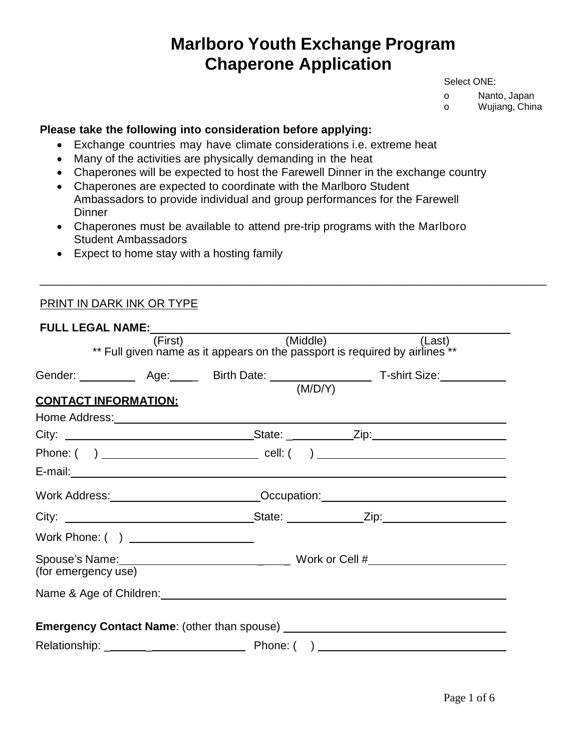# **Marlboro Youth Exchange Program Chaperone Application**

Select ONE:

o Nanto, Japan

o Wujiang, China

#### **Please take the following into consideration before applying:**

- Exchange countries may have climate considerations i.e. extreme heat
- Many of the activities are physically demanding in the heat
- Chaperones will be expected to host the Farewell Dinner in the exchange country
- Chaperones are expected to coordinate with the Marlboro Student Ambassadors to provide individual and group performances for the Farewell **Dinner**
- Chaperones must be available to attend pre-trip programs with the Marlboro Student Ambassadors

\_\_\_\_\_\_\_\_\_\_\_\_\_\_\_\_\_\_\_\_\_\_\_\_\_\_\_\_\_\_\_\_\_\_\_\_\_\_\_\_\_\_\_\_\_\_\_\_\_\_\_\_\_\_\_\_\_\_\_\_\_\_\_\_\_\_\_\_\_\_\_\_\_\_\_\_\_\_\_\_

• Expect to home stay with a hosting family

# PRINT IN DARK INK OR TYPE

|                                       | (First) (Middle)                                                                       | (Last) |  |  |  |  |
|---------------------------------------|----------------------------------------------------------------------------------------|--------|--|--|--|--|
|                                       | ** Full given name as it appears on the passport is required by airlines <sup>**</sup> |        |  |  |  |  |
|                                       |                                                                                        |        |  |  |  |  |
|                                       |                                                                                        |        |  |  |  |  |
| <b>CONTACT INFORMATION:</b>           |                                                                                        |        |  |  |  |  |
|                                       |                                                                                        |        |  |  |  |  |
|                                       |                                                                                        |        |  |  |  |  |
|                                       |                                                                                        |        |  |  |  |  |
|                                       |                                                                                        |        |  |  |  |  |
|                                       | Work Address: __________________________Occupation: ____________________________       |        |  |  |  |  |
|                                       |                                                                                        |        |  |  |  |  |
| Work Phone: ( ) _____________________ |                                                                                        |        |  |  |  |  |
|                                       |                                                                                        |        |  |  |  |  |
| (for emergency use)                   |                                                                                        |        |  |  |  |  |
|                                       |                                                                                        |        |  |  |  |  |
|                                       |                                                                                        |        |  |  |  |  |
|                                       |                                                                                        |        |  |  |  |  |
|                                       |                                                                                        |        |  |  |  |  |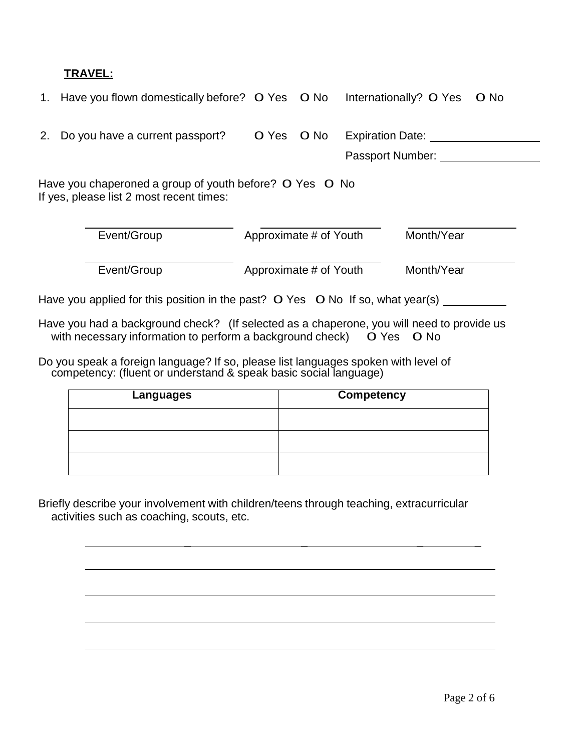### **TRAVEL:**

|                                                                                                     | 1. Have you flown domestically before? O Yes O No |                        |      | O No<br>Internationally? O Yes              |  |  |  |  |
|-----------------------------------------------------------------------------------------------------|---------------------------------------------------|------------------------|------|---------------------------------------------|--|--|--|--|
| 2.                                                                                                  | Do you have a current passport?                   | O Yes                  | O No | <b>Expiration Date:</b><br>Passport Number: |  |  |  |  |
| Have you chaperoned a group of youth before? O Yes O No<br>If yes, please list 2 most recent times: |                                                   |                        |      |                                             |  |  |  |  |
|                                                                                                     | Event/Group                                       | Approximate # of Youth |      | Month/Year                                  |  |  |  |  |
|                                                                                                     | Event/Group                                       | Approximate # of Youth |      | Month/Year                                  |  |  |  |  |

Have you applied for this position in the past? 0 Yes 0 No If so, what year(s)

Have you had a background check? (If selected as a chaperone, you will need to provide us with necessary information to perform a background check)  $\overrightarrow{O}$  Yes  $\overrightarrow{O}$  No

Do you speak a foreign language? If so, please list languages spoken with level of competency: (fluent or understand & speak basic social language)

| <b>Languages</b> | <b>Competency</b> |
|------------------|-------------------|
|                  |                   |
|                  |                   |
|                  |                   |

\_ \_ \_ \_

Briefly describe your involvement with children/teens through teaching, extracurricular activities such as coaching, scouts, etc.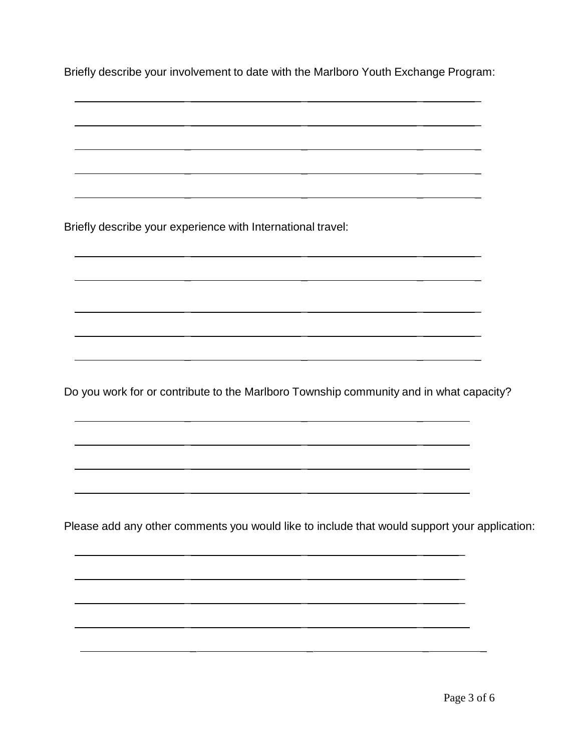Briefly describe your involvement to date with the Marlboro Youth Exchange Program:

 $\sim$   $\sim$   $\sim$   $\sim$   $\sim$ 

\_ \_ \_ \_

\_ \_ \_ \_

\_ \_ \_ \_

\_ \_ \_ \_

\_ \_ \_ \_

\_ \_ \_ \_

\_ \_ \_ \_

\_ \_ \_ \_

\_ \_ \_ \_

Briefly describe your experience with International travel:

Do you work for or contribute to the Marlboro Township community and in what capacity?

\_ \_ \_

\_ \_ \_

\_ \_ \_

\_ \_ \_

Please add any other comments you would like to include that would support your application:

\_ \_ \_

\_ \_ \_ \_

\_ \_ \_ \_

\_ \_ \_ \_

\_ \_ \_ \_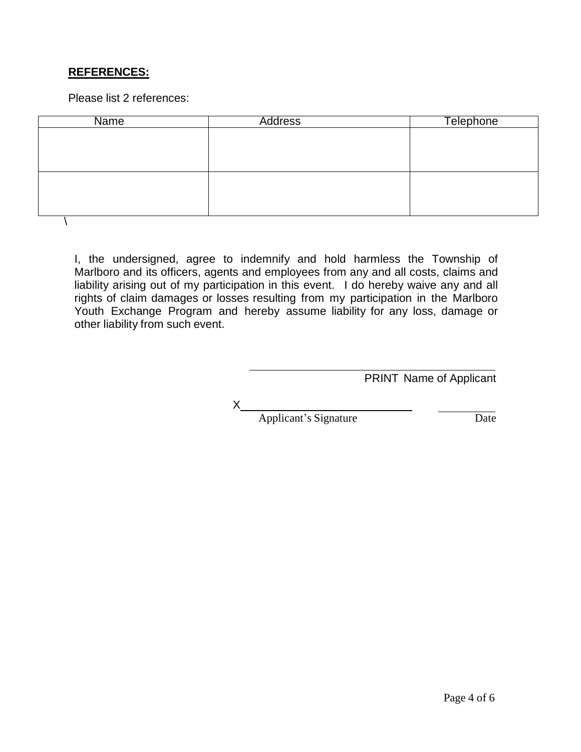# **REFERENCES:**

Please list 2 references:

| <b>Name</b> | <b>Address</b> | <b>Telephone</b> |
|-------------|----------------|------------------|
|             |                |                  |
|             |                |                  |
|             |                |                  |
|             |                |                  |
|             |                |                  |
|             |                |                  |
|             |                |                  |

I, the undersigned, agree to indemnify and hold harmless the Township of Marlboro and its officers, agents and employees from any and all costs, claims and liability arising out of my participation in this event. I do hereby waive any and all rights of claim damages or losses resulting from my participation in the Marlboro Youth Exchange Program and hereby assume liability for any loss, damage or other liability from such event.

PRINT Name of Applicant

X

Applicant's Signature Date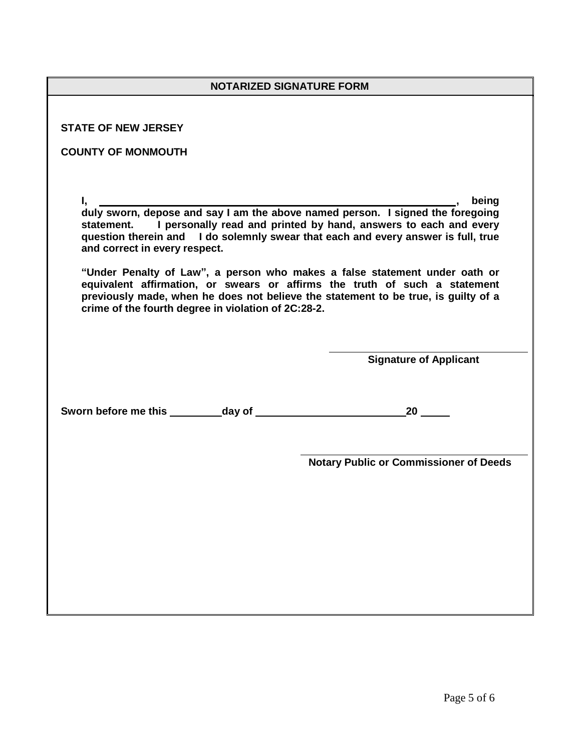| <b>NOTARIZED SIGNATURE FORM</b>                                                                                                                                                                                                                                                                       |                                               |  |  |  |
|-------------------------------------------------------------------------------------------------------------------------------------------------------------------------------------------------------------------------------------------------------------------------------------------------------|-----------------------------------------------|--|--|--|
|                                                                                                                                                                                                                                                                                                       |                                               |  |  |  |
| <b>STATE OF NEW JERSEY</b>                                                                                                                                                                                                                                                                            |                                               |  |  |  |
| <b>COUNTY OF MONMOUTH</b>                                                                                                                                                                                                                                                                             |                                               |  |  |  |
|                                                                                                                                                                                                                                                                                                       |                                               |  |  |  |
| $I,$<br>duly sworn, depose and say I am the above named person. I signed the foregoing<br>statement. I personally read and printed by hand, answers to each and every<br>question therein and I do solemnly swear that each and every answer is full, true<br>and correct in every respect.           |                                               |  |  |  |
| "Under Penalty of Law", a person who makes a false statement under oath or<br>equivalent affirmation, or swears or affirms the truth of such a statement<br>previously made, when he does not believe the statement to be true, is guilty of a<br>crime of the fourth degree in violation of 2C:28-2. |                                               |  |  |  |
|                                                                                                                                                                                                                                                                                                       | <b>Signature of Applicant</b>                 |  |  |  |
|                                                                                                                                                                                                                                                                                                       | 20                                            |  |  |  |
|                                                                                                                                                                                                                                                                                                       | <b>Notary Public or Commissioner of Deeds</b> |  |  |  |
|                                                                                                                                                                                                                                                                                                       |                                               |  |  |  |
|                                                                                                                                                                                                                                                                                                       |                                               |  |  |  |
|                                                                                                                                                                                                                                                                                                       |                                               |  |  |  |